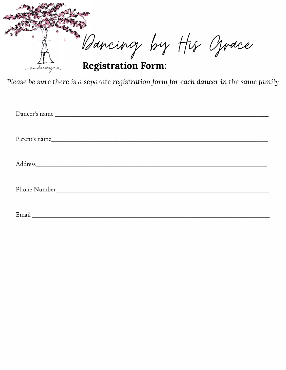

Please be sure there is a separate registration form for each dancer in the same family

| Parent's name                                                                                                                                                                                                                  |
|--------------------------------------------------------------------------------------------------------------------------------------------------------------------------------------------------------------------------------|
| Address and the contract of the contract of the contract of the contract of the contract of the contract of the contract of the contract of the contract of the contract of the contract of the contract of the contract of th |
| Phone Number                                                                                                                                                                                                                   |
|                                                                                                                                                                                                                                |
| Email                                                                                                                                                                                                                          |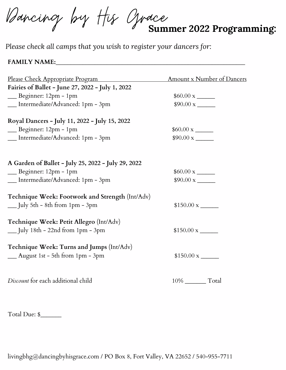Dancing by His Grace **Summer 2022 Programming:**

*Please check all camps that you wish to register your dancers for:*

## **FAMILY NAME:**\_\_\_\_\_\_\_\_\_\_\_\_\_\_\_\_\_\_\_\_\_\_\_\_\_\_\_\_\_\_\_\_\_\_\_\_\_\_\_\_\_\_\_\_\_\_\_\_\_\_\_\_\_\_\_\_\_\_\_\_\_\_\_

| <b>Please Check Appropriate Program</b>                                                                           | <u>Amount x Number of Dancers</u>            |
|-------------------------------------------------------------------------------------------------------------------|----------------------------------------------|
| Fairies of Ballet - June 27, 2022 - July 1, 2022                                                                  |                                              |
| $\_\_\_\$ Beginner: 12pm - 1pm                                                                                    | $60.00 x$ <sub>x</sub>                       |
| __ Intermediate/Advanced: 1pm - 3pm                                                                               |                                              |
| Royal Dancers - July 11, 2022 - July 15, 2022                                                                     |                                              |
| $\_\_\_\$ Beginner: 12pm - 1pm                                                                                    | $60.00 x$ <sub>x</sub>                       |
| __ Intermediate/Advanced: 1pm - 3pm                                                                               | $$90.00 \text{ x}$                           |
| A Garden of Ballet - July 25, 2022 - July 29, 2022<br>Beginner: 12pm - 1pm<br>__ Intermediate/Advanced: 1pm - 3pm | $60.00 x$ <sub>x</sub><br>$$90.00 \text{ x}$ |
| Technique Week: Footwork and Strength (Int/Adv)<br>$\frac{1}{2}$ July 5th - 8th from 1pm - 3pm                    | $$150.00 \text{ x}$                          |
| Technique Week: Petit Allegro (Int/Adv)<br>$\frac{1}{2}$ July 18th - 22nd from 1pm - 3pm                          | $$150.00 \text{ x }$                         |
| Technique Week: Turns and Jumps (Int/Adv)<br>$\frac{1}{2}$ August 1st - 5th from 1pm - 3pm                        | $$150.00 \text{ x }$                         |
| Discount for each additional child                                                                                | 10% ________ Total                           |

Total Due: \$\_\_\_\_\_\_\_\_\_

livingbhg@dancingbyhisgrace.com / PO Box 8, Fort Valley, VA 22652 / 540-955-7711